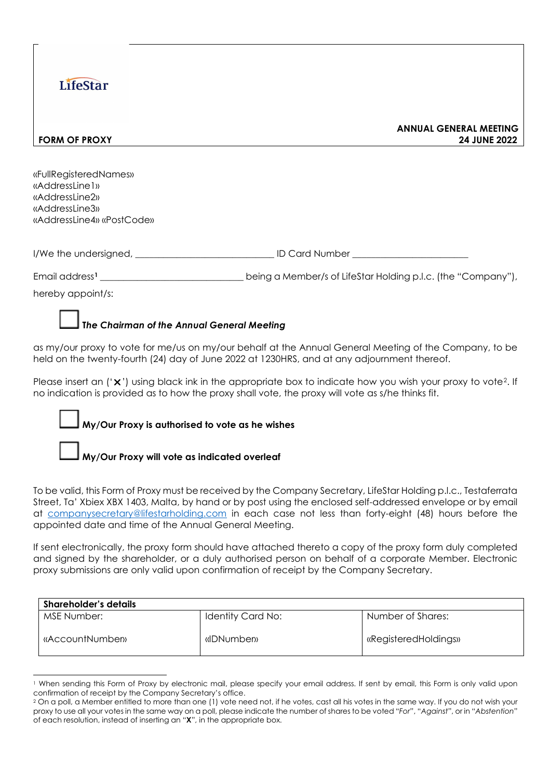# **LifeStar**

**ANNUAL GENERAL MEETING FORM OF PROXY 24 JUNE 2022**

«FullRegisteredNames» «AddressLine1» «AddressLine2» «AddressLine3» «AddressLine4» «PostCode»

| I/We the undersigned, | <b>ID Card Number</b> |
|-----------------------|-----------------------|
|-----------------------|-----------------------|

Email address**[1](#page-0-0)** \_\_\_\_\_\_\_\_\_\_\_\_\_\_\_\_\_\_\_\_\_\_\_\_\_\_\_\_\_\_\_ being a Member/s of LifeStar Holding p.l.c. (the "Company"),

hereby appoint/s:

#### **T***he Chairman of the Annual General Meeting*

as my/our proxy to vote for me/us on my/our behalf at the Annual General Meeting of the Company, to be held on the twenty-fourth (24) day of June 2022 at 1230HRS, and at any adjournment thereof.

Please insert an  $('x')$  using black ink in the appropriate box to indicate how you wish your proxy to vote?. If no indication is provided as to how the proxy shall vote, the proxy will vote as s/he thinks fit.

#### **My/Our Proxy is authorised to vote as he wishes**

**My/Our Proxy will vote as indicated overleaf**

To be valid, this Form of Proxy must be received by the Company Secretary, LifeStar Holding p.l.c., Testaferrata Street, Ta' Xbiex XBX 1403, Malta, by hand or by post using the enclosed self-addressed envelope or by email at [companysecretary@lifestarholding.com](mailto:companysecretary@lifestarholding.com) in each case not less than forty-eight (48) hours before the appointed date and time of the Annual General Meeting.

If sent electronically, the proxy form should have attached thereto a copy of the proxy form duly completed and signed by the shareholder, or a duly authorised person on behalf of a corporate Member. Electronic proxy submissions are only valid upon confirmation of receipt by the Company Secretary.

| <b>Shareholder's details</b> |                   |                      |  |  |  |  |
|------------------------------|-------------------|----------------------|--|--|--|--|
| MSE Number:                  | Identity Card No: | Number of Shares:    |  |  |  |  |
| «AccountNumber»              | «IDNumber»        | «RegisteredHoldings» |  |  |  |  |

<span id="page-0-0"></span><sup>1</sup> When sending this Form of Proxy by electronic mail, please specify your email address. If sent by email, this Form is only valid upon confirmation of receipt by the Company Secretary's office.

<span id="page-0-1"></span><sup>&</sup>lt;sup>2</sup> On a poll, a Member entitled to more than one (1) vote need not, if he votes, cast all his votes in the same way. If you do not wish your proxy to use all your votes in the same way on a poll, please indicate the number of shares to be voted "*For*", "*Against*", or in "*Abstention*" of each resolution, instead of inserting an "**X**", in the appropriate box.